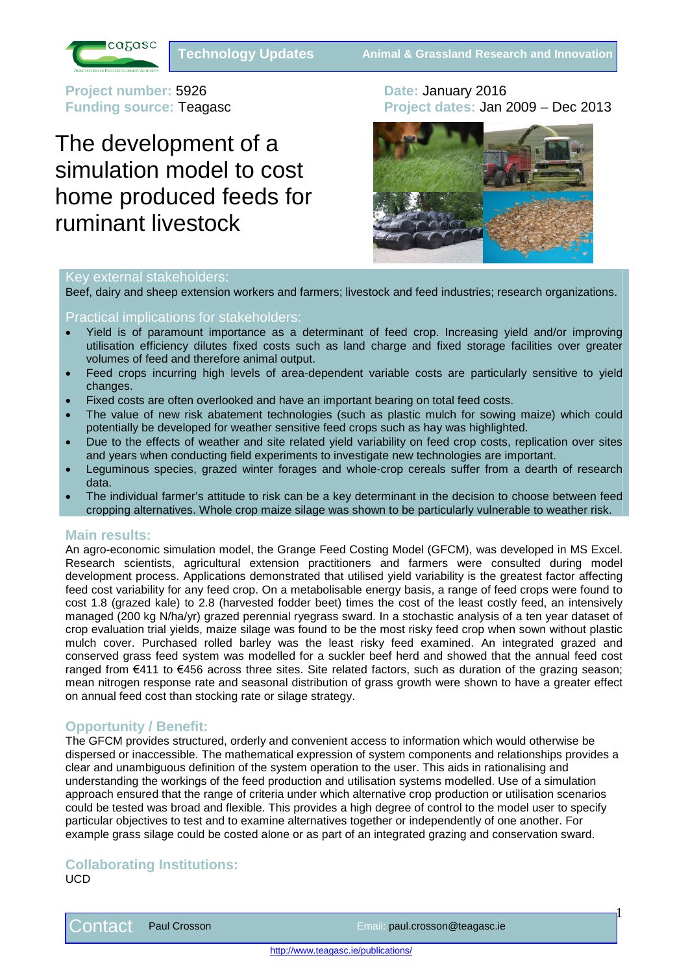

**Project number: 5926 <b>Date:** January 2016

## The development of a simulation model to cost home produced feeds for ruminant livestock

# **Funding source:** Teagasc **Project dates:** Jan 2009 – Dec 2013



## Key external stakeholders:

Beef, dairy and sheep extension workers and farmers; livestock and feed industries; research organizations.

## Practical implications for stakeholders:

- Yield is of paramount importance as a determinant of feed crop. Increasing yield and/or improving utilisation efficiency dilutes fixed costs such as land charge and fixed storage facilities over greater volumes of feed and therefore animal output.
- Feed crops incurring high levels of area-dependent variable costs are particularly sensitive to yield changes.
- Fixed costs are often overlooked and have an important bearing on total feed costs.
- The value of new risk abatement technologies (such as plastic mulch for sowing maize) which could potentially be developed for weather sensitive feed crops such as hay was highlighted.
- Due to the effects of weather and site related yield variability on feed crop costs, replication over sites and years when conducting field experiments to investigate new technologies are important.
- Leguminous species, grazed winter forages and whole-crop cereals suffer from a dearth of research data.
- The individual farmer's attitude to risk can be a key determinant in the decision to choose between feed cropping alternatives. Whole crop maize silage was shown to be particularly vulnerable to weather risk.

## **Main results:**

An agro-economic simulation model, the Grange Feed Costing Model (GFCM), was developed in MS Excel. Research scientists, agricultural extension practitioners and farmers were consulted during model development process. Applications demonstrated that utilised yield variability is the greatest factor affecting feed cost variability for any feed crop. On a metabolisable energy basis, a range of feed crops were found to cost 1.8 (grazed kale) to 2.8 (harvested fodder beet) times the cost of the least costly feed, an intensively managed (200 kg N/ha/yr) grazed perennial ryegrass sward. In a stochastic analysis of a ten year dataset of crop evaluation trial yields, maize silage was found to be the most risky feed crop when sown without plastic mulch cover. Purchased rolled barley was the least risky feed examined. An integrated grazed and conserved grass feed system was modelled for a suckler beef herd and showed that the annual feed cost ranged from €411 to €456 across three sites. Site related factors, such as duration of the grazing season; mean nitrogen response rate and seasonal distribution of grass growth were shown to have a greater effect on annual feed cost than stocking rate or silage strategy.

## **Opportunity / Benefit:**

The GFCM provides structured, orderly and convenient access to information which would otherwise be dispersed or inaccessible. The mathematical expression of system components and relationships provides a clear and unambiguous definition of the system operation to the user. This aids in rationalising and understanding the workings of the feed production and utilisation systems modelled. Use of a simulation approach ensured that the range of criteria under which alternative crop production or utilisation scenarios could be tested was broad and flexible. This provides a high degree of control to the model user to specify particular objectives to test and to examine alternatives together or independently of one another. For example grass silage could be costed alone or as part of an integrated grazing and conservation sward.

## **Collaborating Institutions:**

UCD

 $1\overline{1}$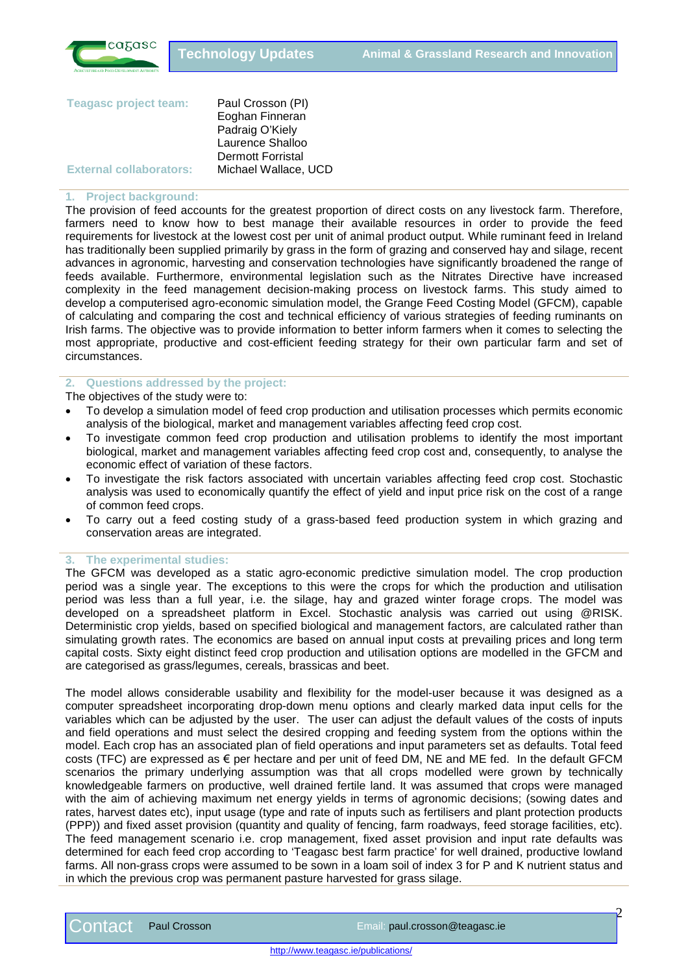

| Paul Crosson (PI)        |
|--------------------------|
| Eoghan Finneran          |
| Padraig O'Kiely          |
| Laurence Shalloo         |
| <b>Dermott Forristal</b> |
| Michael Wallace, UCD     |
|                          |

#### **1. Project background:**

The provision of feed accounts for the greatest proportion of direct costs on any livestock farm. Therefore, farmers need to know how to best manage their available resources in order to provide the feed requirements for livestock at the lowest cost per unit of animal product output. While ruminant feed in Ireland has traditionally been supplied primarily by grass in the form of grazing and conserved hay and silage, recent advances in agronomic, harvesting and conservation technologies have significantly broadened the range of feeds available. Furthermore, environmental legislation such as the Nitrates Directive have increased complexity in the feed management decision-making process on livestock farms. This study aimed to develop a computerised agro-economic simulation model, the Grange Feed Costing Model (GFCM), capable of calculating and comparing the cost and technical efficiency of various strategies of feeding ruminants on Irish farms. The objective was to provide information to better inform farmers when it comes to selecting the most appropriate, productive and cost-efficient feeding strategy for their own particular farm and set of circumstances.

## **2. Questions addressed by the project:**

The objectives of the study were to:

- To develop a simulation model of feed crop production and utilisation processes which permits economic analysis of the biological, market and management variables affecting feed crop cost.
- To investigate common feed crop production and utilisation problems to identify the most important biological, market and management variables affecting feed crop cost and, consequently, to analyse the economic effect of variation of these factors.
- To investigate the risk factors associated with uncertain variables affecting feed crop cost. Stochastic analysis was used to economically quantify the effect of yield and input price risk on the cost of a range of common feed crops.
- To carry out a feed costing study of a grass-based feed production system in which grazing and conservation areas are integrated.

#### **3. The experimental studies:**

The GFCM was developed as a static agro-economic predictive simulation model. The crop production period was a single year. The exceptions to this were the crops for which the production and utilisation period was less than a full year, i.e. the silage, hay and grazed winter forage crops. The model was developed on a spreadsheet platform in Excel. Stochastic analysis was carried out using @RISK. Deterministic crop yields, based on specified biological and management factors, are calculated rather than simulating growth rates. The economics are based on annual input costs at prevailing prices and long term capital costs. Sixty eight distinct feed crop production and utilisation options are modelled in the GFCM and are categorised as grass/legumes, cereals, brassicas and beet.

The model allows considerable usability and flexibility for the model-user because it was designed as a computer spreadsheet incorporating drop-down menu options and clearly marked data input cells for the variables which can be adjusted by the user. The user can adjust the default values of the costs of inputs and field operations and must select the desired cropping and feeding system from the options within the model. Each crop has an associated plan of field operations and input parameters set as defaults. Total feed costs (TFC) are expressed as  $\epsilon$  per hectare and per unit of feed DM, NE and ME fed. In the default GFCM scenarios the primary underlying assumption was that all crops modelled were grown by technically knowledgeable farmers on productive, well drained fertile land. It was assumed that crops were managed with the aim of achieving maximum net energy yields in terms of agronomic decisions; (sowing dates and rates, harvest dates etc), input usage (type and rate of inputs such as fertilisers and plant protection products (PPP)) and fixed asset provision (quantity and quality of fencing, farm roadways, feed storage facilities, etc). The feed management scenario i.e. crop management, fixed asset provision and input rate defaults was determined for each feed crop according to 'Teagasc best farm practice' for well drained, productive lowland farms. All non-grass crops were assumed to be sown in a loam soil of index 3 for P and K nutrient status and in which the previous crop was permanent pasture harvested for grass silage.

http://www.teagasc.ie/publications/

 $\overline{\mathcal{C}}$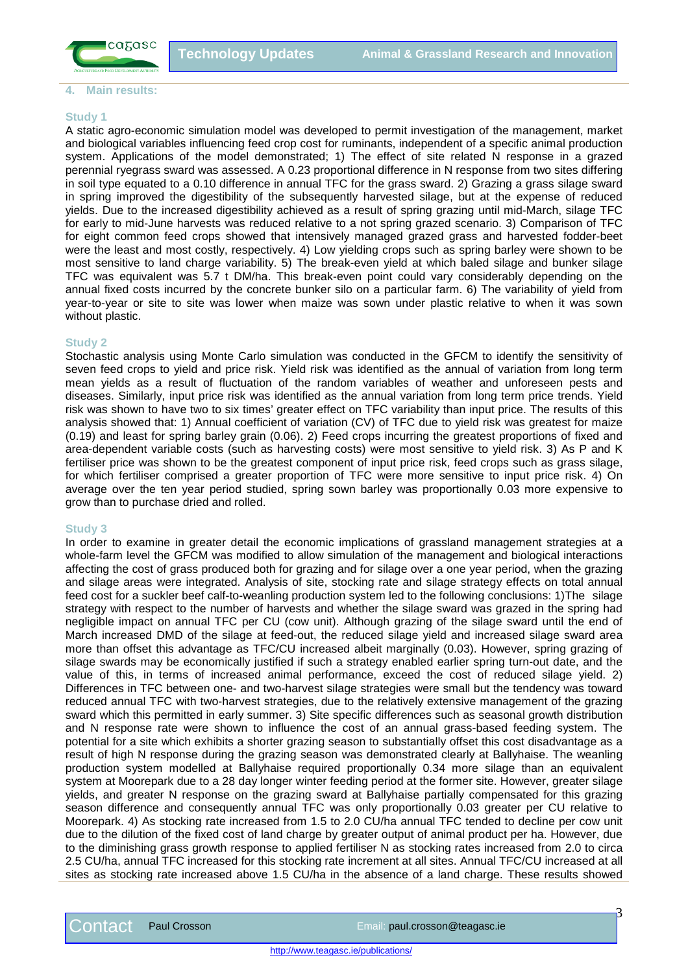

#### **4. Main results:**

#### **Study 1**

A static agro-economic simulation model was developed to permit investigation of the management, market and biological variables influencing feed crop cost for ruminants, independent of a specific animal production system. Applications of the model demonstrated; 1) The effect of site related N response in a grazed perennial ryegrass sward was assessed. A 0.23 proportional difference in N response from two sites differing in soil type equated to a 0.10 difference in annual TFC for the grass sward. 2) Grazing a grass silage sward in spring improved the digestibility of the subsequently harvested silage, but at the expense of reduced yields. Due to the increased digestibility achieved as a result of spring grazing until mid-March, silage TFC for early to mid-June harvests was reduced relative to a not spring grazed scenario. 3) Comparison of TFC for eight common feed crops showed that intensively managed grazed grass and harvested fodder-beet were the least and most costly, respectively. 4) Low yielding crops such as spring barley were shown to be most sensitive to land charge variability. 5) The break-even yield at which baled silage and bunker silage TFC was equivalent was 5.7 t DM/ha. This break-even point could vary considerably depending on the annual fixed costs incurred by the concrete bunker silo on a particular farm. 6) The variability of yield from year-to-year or site to site was lower when maize was sown under plastic relative to when it was sown without plastic.

## **Study 2**

Stochastic analysis using Monte Carlo simulation was conducted in the GFCM to identify the sensitivity of seven feed crops to yield and price risk. Yield risk was identified as the annual of variation from long term mean yields as a result of fluctuation of the random variables of weather and unforeseen pests and diseases. Similarly, input price risk was identified as the annual variation from long term price trends. Yield risk was shown to have two to six times' greater effect on TFC variability than input price. The results of this analysis showed that: 1) Annual coefficient of variation (CV) of TFC due to yield risk was greatest for maize (0.19) and least for spring barley grain (0.06). 2) Feed crops incurring the greatest proportions of fixed and area-dependent variable costs (such as harvesting costs) were most sensitive to yield risk. 3) As P and K fertiliser price was shown to be the greatest component of input price risk, feed crops such as grass silage, for which fertiliser comprised a greater proportion of TFC were more sensitive to input price risk. 4) On average over the ten year period studied, spring sown barley was proportionally 0.03 more expensive to grow than to purchase dried and rolled.

## **Study 3**

In order to examine in greater detail the economic implications of grassland management strategies at a whole-farm level the GFCM was modified to allow simulation of the management and biological interactions affecting the cost of grass produced both for grazing and for silage over a one year period, when the grazing and silage areas were integrated. Analysis of site, stocking rate and silage strategy effects on total annual feed cost for a suckler beef calf-to-weanling production system led to the following conclusions: 1)The silage strategy with respect to the number of harvests and whether the silage sward was grazed in the spring had negligible impact on annual TFC per CU (cow unit). Although grazing of the silage sward until the end of March increased DMD of the silage at feed-out, the reduced silage yield and increased silage sward area more than offset this advantage as TFC/CU increased albeit marginally (0.03). However, spring grazing of silage swards may be economically justified if such a strategy enabled earlier spring turn-out date, and the value of this, in terms of increased animal performance, exceed the cost of reduced silage yield. 2) Differences in TFC between one- and two-harvest silage strategies were small but the tendency was toward reduced annual TFC with two-harvest strategies, due to the relatively extensive management of the grazing sward which this permitted in early summer. 3) Site specific differences such as seasonal growth distribution and N response rate were shown to influence the cost of an annual grass-based feeding system. The potential for a site which exhibits a shorter grazing season to substantially offset this cost disadvantage as a result of high N response during the grazing season was demonstrated clearly at Ballyhaise. The weanling production system modelled at Ballyhaise required proportionally 0.34 more silage than an equivalent system at Moorepark due to a 28 day longer winter feeding period at the former site. However, greater silage yields, and greater N response on the grazing sward at Ballyhaise partially compensated for this grazing season difference and consequently annual TFC was only proportionally 0.03 greater per CU relative to Moorepark. 4) As stocking rate increased from 1.5 to 2.0 CU/ha annual TFC tended to decline per cow unit due to the dilution of the fixed cost of land charge by greater output of animal product per ha. However, due to the diminishing grass growth response to applied fertiliser N as stocking rates increased from 2.0 to circa 2.5 CU/ha, annual TFC increased for this stocking rate increment at all sites. Annual TFC/CU increased at all sites as stocking rate increased above 1.5 CU/ha in the absence of a land charge. These results showed

3